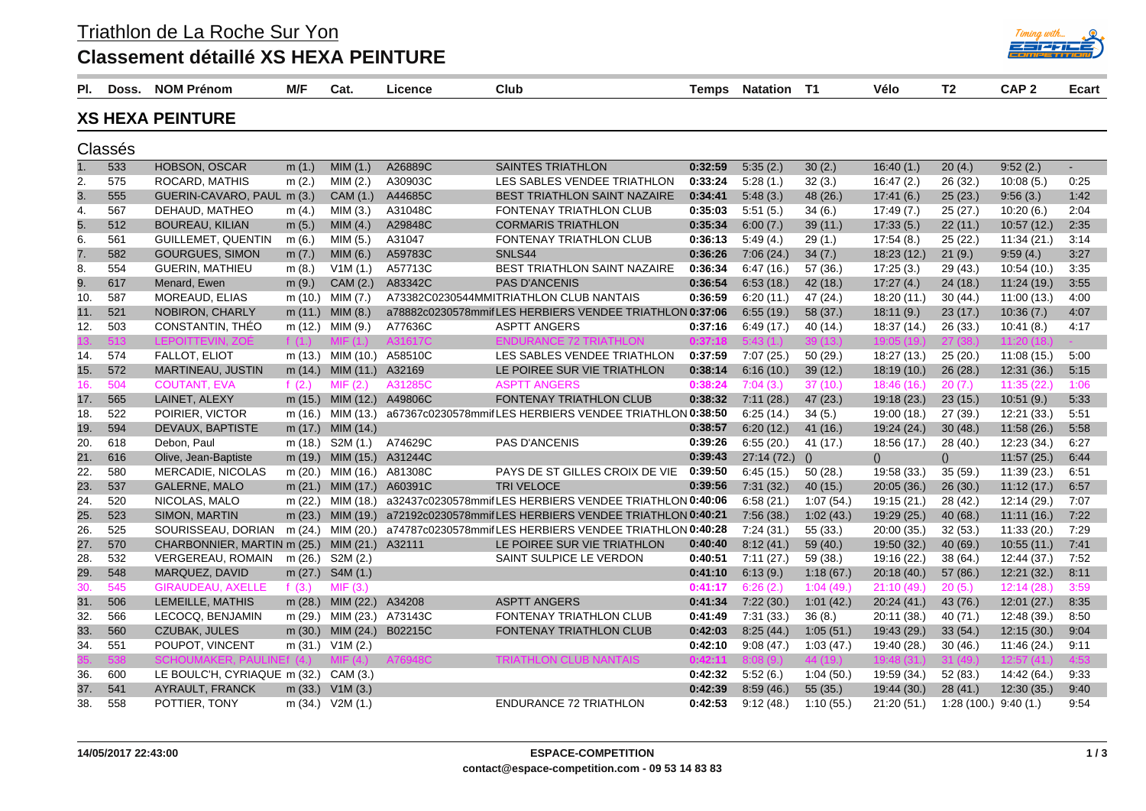Triathlon de La Roche Sur Yon

## **Classement détaillé XS HEXA PEINTURE**

| PI. | Doss.   | <b>NOM Prénom</b>                            | M/F       | Cat.                      | Licence           | Club                                                                      | Temps   | <b>Natation</b> | - T1      | Vélo        | T <sub>2</sub>         | CAP <sub>2</sub> | <b>Ecart</b> |
|-----|---------|----------------------------------------------|-----------|---------------------------|-------------------|---------------------------------------------------------------------------|---------|-----------------|-----------|-------------|------------------------|------------------|--------------|
|     |         | <b>XS HEXA PEINTURE</b>                      |           |                           |                   |                                                                           |         |                 |           |             |                        |                  |              |
|     | Classés |                                              |           |                           |                   |                                                                           |         |                 |           |             |                        |                  |              |
| 1.  | 533     | <b>HOBSON, OSCAR</b>                         | m(1.)     | MIM(1.)                   | A26889C           | <b>SAINTES TRIATHLON</b>                                                  | 0:32:59 | 5:35(2.)        | 30(2.)    | 16:40(1.)   | 20(4.)                 | 9:52(2.)         |              |
| 2.  | 575     | ROCARD, MATHIS                               | m(2.)     | MIM(2.)                   | A30903C           | LES SABLES VENDEE TRIATHLON                                               | 0:33:24 | 5.28(1.)        | 32(3.)    | 16:47(2)    | 26 (32.)               | 10:08(5)         | 0:25         |
| 3.  | 555     | GUERIN-CAVARO, PAUL m (3.)                   |           | CAM (1.)                  | A44685C           | <b>BEST TRIATHLON SAINT NAZAIRE</b>                                       | 0:34:41 | 5.48(3.)        | 48(26.)   | 17:41(6.)   | 25(23.)                | 9:56(3.)         | 1:42         |
| 4.  | 567     | DEHAUD, MATHEO                               | m(4.)     | MIM(3.)                   | A31048C           | FONTENAY TRIATHLON CLUB                                                   | 0:35:03 | 5:51(5.)        | 34(6.)    | 17:49(7.)   | 25(27.)                | 10:20(6.)        | 2:04         |
| 5.  | 512     | <b>BOUREAU, KILIAN</b>                       | m $(5.)$  | MIM(4.)                   | A29848C           | <b>CORMARIS TRIATHLON</b>                                                 | 0:35:34 | 6:00(7.)        | 39(11)    | 17:33(5.)   | 22(11)                 | 10:57(12.)       | 2:35         |
| 6.  | 561     | <b>GUILLEMET, QUENTIN</b>                    | m(6.)     | MIM(5.)                   | A31047            | FONTENAY TRIATHLON CLUB                                                   | 0:36:13 | 5:49(4.)        | 29(1.)    | 17:54(8.)   | 25(22.)                | 11:34(21.)       | 3:14         |
| 7.  | 582     | <b>GOURGUES, SIMON</b>                       | m $(7.)$  | MIM $(6.)$                | A59783C           | SNLS44                                                                    | 0:36:26 | 7:06(24.)       | 34(7.)    | 18:23(12.)  | 21(9.)                 | 9:59(4.)         | 3:27         |
| 8.  | 554     | <b>GUERIN, MATHIEU</b>                       | m(8.)     | V1M(1.)                   | A57713C           | BEST TRIATHLON SAINT NAZAIRE                                              | 0:36:34 | 6.47(16.)       | 57 (36.)  | 17:25(3)    | 29(43.)                | 10:54(10.)       | 3:35         |
| 9.  | 617     | Menard, Ewen                                 | m(9.)     | CAM (2.)                  | A83342C           | <b>PAS D'ANCENIS</b>                                                      | 0:36:54 | 6.53(18.)       | 42 (18.)  | 17:27(4.)   | 24(18.)                | 11:24(19.)       | 3:55         |
| 10. | 587     | MOREAUD, ELIAS                               | m (10.)   | MIM (7.)                  |                   | A73382C0230544MMITRIATHLON CLUB NANTAIS                                   | 0:36:59 | 6:20(11)        | 47 (24.)  | 18:20(11)   | 30(44)                 | 11:00(13.)       | 4:00         |
| 11. | 521     | NOBIRON, CHARLY                              |           | m $(11.)$ MIM $(8.)$      |                   | a78882c0230578mmifLES HERBIERS VENDEE TRIATHLON 0:37:06                   |         | 6:55(19)        | 58 (37.)  | 18:11(9)    | 23(17.)                | 10:36(7.)        | 4:07         |
| 12. | 503     | CONSTANTIN, THEO                             |           | m (12.) MIM (9.)          | A77636C           | <b>ASPTT ANGERS</b>                                                       | 0:37:16 | 6:49(17)        | 40 (14.)  | 18:37 (14.) | 26(33)                 | 10:41(8.)        | 4:17         |
|     | 13      | LEPOITTEVIN. ZOÉ                             | f $(1)$   |                           |                   | CE 72 TRIATHI ON                                                          | 0:37:1  |                 |           |             |                        |                  |              |
| 14. | 574     | FALLOT, ELIOT                                |           | m (13.) MIM (10.) A58510C |                   | LES SABLES VENDEE TRIATHLON                                               | 0:37:59 | 7:07(25.)       | 50(29.)   | 18:27 (13.) | 25(20.)                | 11:08(15.)       | 5:00         |
| 15. | 572     | MARTINEAU, JUSTIN                            |           | m (14.) MIM (11.) A32169  |                   | LE POIREE SUR VIE TRIATHLON                                               | 0:38:14 | 6:16(10.)       | 39(12.)   | 18:19(10.)  | 26(28.)                | 12:31(36.)       | 5:15         |
| 16. | 504     | <b>COUTANT, EVA</b>                          | f $(2.)$  | MIF(2.)                   | A31285C           | <b>ASPTT ANGERS</b>                                                       | 0:38:24 | 7:04(3.)        | 37(10.)   | 18:46(16.)  | 20(7.)                 | 11:35(22)        | 1:06         |
| 17. | 565     | LAINET, ALEXY                                |           | m (15.) MIM (12.) A49806C |                   | FONTENAY TRIATHLON CLUB                                                   | 0:38:32 | 7:11(28.)       | 47(23.)   | 19:18 (23.) | 23(15.)                | 10:51(9.)        | 5:33         |
| 18. | 522     | POIRIER, VICTOR                              |           | m (16.) MIM (13.)         |                   | a67367c0230578mmifLES HERBIERS VENDEE TRIATHLON 0:38:50                   |         | 6:25(14)        | 34(5.)    | 19:00 (18.) | 27(39.)                | 12:21(33)        | 5:51         |
| 19. | 594     | DEVAUX, BAPTISTE                             |           | m (17.) MIM (14.)         |                   |                                                                           | 0:38:57 | 6:20(12)        | 41 (16.)  | 19:24 (24.) | 30(48.)                | 11:58(26.)       | 5:58         |
| 20. | 618     | Debon, Paul                                  | m (18.)   | S2M (1.)                  | A74629C           | <b>PAS D'ANCENIS</b>                                                      | 0:39:26 | 6:55(20.)       | 41 (17.)  | 18:56 (17.) | 28(40.)                | 12:23 (34.)      | 6:27         |
| 21. | 616     | Olive, Jean-Baptiste                         |           | m (19.) MIM (15.) A31244C |                   |                                                                           | 0:39:43 | $27:14(72)$ ()  |           | ()          | ()                     | 11:57(25.)       | 6:44         |
| 22. | 580     | MERCADIE, NICOLAS                            | m $(20.)$ |                           | MIM (16.) A81308C | PAYS DE ST GILLES CROIX DE VIE                                            | 0:39:50 | 6:45(15.)       | 50(28.)   | 19:58 (33.) | 35(59.)                | 11:39(23.)       | 6:51         |
| 23. | 537     | <b>GALERNE, MALO</b>                         |           | m (21.) MIM (17.) A60391C |                   | <b>TRI VELOCE</b>                                                         | 0:39:56 | 7:31(32)        | 40(15.)   | 20:05(36.)  | 26(30.)                | 11:12(17.)       | 6:57         |
| 24. | 520     | NICOLAS, MALO                                |           | m (22.) MIM (18.)         |                   | a32437c0230578mmifLES HERBIERS VENDEE TRIATHLON 0:40:06                   |         | 6:58(21.)       | 1:07(54.) | 19:15 (21.) | 28(42.)                | 12:14 (29.)      | 7:07         |
| 25. | 523     | SIMON, MARTIN                                |           |                           |                   | m (23.) MIM (19.) a72192c0230578mmifLES HERBIERS VENDEE TRIATHLON 0:40:21 |         | 7:56(38.)       | 1:02(43.) | 19:29(25.)  | 40(68.)                | 11:11(16.)       | 7:22         |
| 26. | 525     | SOURISSEAU, DORIAN                           |           | m (24.) MIM (20.)         |                   | a74787c0230578mmifLES HERBIERS VENDEE TRIATHLON 0:40:28                   |         | 7:24(31)        | 55(33.)   | 20:00 (35.) | 32(53)                 | 11:33(20.)       | 7:29         |
| 27. | 570     | CHARBONNIER, MARTIN m (25.) MIM (21.) A32111 |           |                           |                   | LE POIREE SUR VIE TRIATHLON                                               | 0:40:40 | 8:12(41)        | 59 (40.)  | 19:50 (32.) | 40(69.)                | 10:55(11)        | 7:41         |
| 28. | 532     | VERGEREAU, ROMAIN                            |           | m (26.) S2M (2.)          |                   | SAINT SULPICE LE VERDON                                                   | 0:40:51 | 7:11(27.)       | 59 (38.)  | 19:16 (22.) | 38(64)                 | 12:44(37.)       | 7:52         |
| 29. | 548     | MARQUEZ, DAVID                               |           | m (27.) S4M (1.)          |                   |                                                                           | 0:41:10 | 6:13(9)         | 1:18(67)  | 20:18(40.)  | 57(86)                 | 12:21(32.)       | 8:11         |
| 30. | 545     | <b>GIRAUDEAU, AXELLE</b>                     | f $(3.)$  | MIF(3.)                   |                   |                                                                           | 0:41:17 | 6:26(2)         | 1:04(49.) | 21:10(49)   | 20(5.)                 | 12:14 (28.)      | 3:59         |
| 31. | 506     | LEMEILLE, MATHIS                             |           | m (28.) MIM (22.) A34208  |                   | <b>ASPTT ANGERS</b>                                                       | 0:41:34 | 7:22(30.)       | 1:01(42.) | 20:24(41)   | 43 (76.)               | 12:01(27.)       | 8:35         |
| 32. | 566     | LECOCQ, BENJAMIN                             |           | m (29.) MIM (23.) A73143C |                   | FONTENAY TRIATHLON CLUB                                                   | 0:41:49 | 7:31(33)        | 36(8.)    | 20:11 (38.) | 40(71.)                | 12:48 (39.)      | 8:50         |
| 33. | 560     | CZUBAK, JULES                                |           | m (30.) MIM (24.) B02215C |                   | FONTENAY TRIATHLON CLUB                                                   | 0:42:03 | 8:25(44.)       | 1:05(51.) | 19:43 (29.) | 33(54)                 | 12:15(30.)       | 9:04         |
| 34. | 551     | POUPOT, VINCENT                              |           | m (31.) V1M (2.)          |                   |                                                                           | 0:42:10 | 9:08(47)        | 1:03(47.) | 19:40 (28.) | 30(46.)                | 11:46 (24.)      | 9:11         |
|     |         | <b>SCHOUMAKER, PAULII</b>                    | JFf (4.)  |                           | A76948C           | <b>TRIATHLON CLUB NANTAIS</b>                                             | 0:42:11 | 8:08(9)         | 44 (19.)  | 19:48 (31)  | 31(49)                 | 12:57 (41.       | 4:53         |
| 36. | 600     | LE BOULC'H, CYRIAQUE m (32.) CAM (3.)        |           |                           |                   |                                                                           | 0:42:32 | 5:52(6.)        | 1:04(50.) | 19:59 (34.) | 52(83.)                | 14:42 (64.)      | 9:33         |
| 37. | 541     | AYRAULT, FRANCK                              |           | m $(33.)$ V1M $(3.)$      |                   |                                                                           | 0:42:39 | 8:59(46.)       | 55(35.)   | 19:44(30.)  | 28(41.)                | 12:30(35.)       | 9:40         |
| 38. | 558     | POTTIER, TONY                                |           | m (34.) V2M (1.)          |                   | <b>ENDURANCE 72 TRIATHLON</b>                                             | 0:42:53 | 9:12(48)        | 1:10(55)  | 21:20(51.)  | $1:28(100.)$ 9:40 (1.) |                  | 9:54         |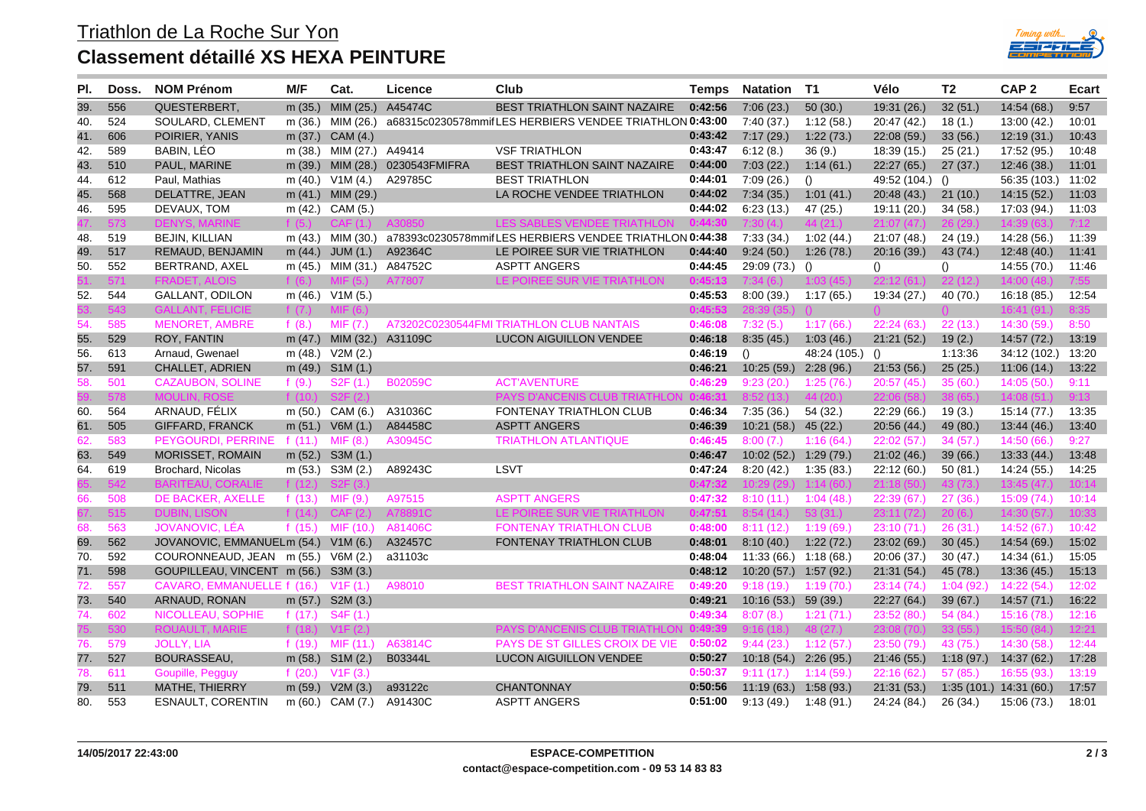

| PI. | Doss. | <b>NOM Prénom</b>                    | M/F       | Cat.                      | Licence        | Club                                                    | Temps   | <b>Natation</b>          | T1               | Vélo             | T2               | CAP <sub>2</sub>         | Ecart |
|-----|-------|--------------------------------------|-----------|---------------------------|----------------|---------------------------------------------------------|---------|--------------------------|------------------|------------------|------------------|--------------------------|-------|
| 39. | 556   | QUESTERBERT,                         | m(35.)    | MIM $(25.)$               | A45474C        | BEST TRIATHLON SAINT NAZAIRE                            | 0:42:56 | 7:06(23.)                | 50(30.)          | 19:31 (26.)      | 32(51.)          | 14:54 (68.)              | 9:57  |
| 40. | 524   | SOULARD, CLEMENT                     | m(36.)    | MIM (26.)                 |                | a68315c0230578mmifLES HERBIERS VENDEE TRIATHLON 0:43:00 |         | 7:40(37.)                | 1:12(58)         | 20:47 (42.)      | 18(1.)           | 13:00 (42.)              | 10:01 |
| 41. | 606   | POIRIER, YANIS                       |           | m (37.) CAM (4.)          |                |                                                         | 0:43:42 | 7:17(29.)                | 1:22(73)         | 22:08(59.)       | 33(56.)          | 12:19(31.)               | 10:43 |
| 42. | 589   | BABIN, LÉO                           | m (38.)   | MIM (27.)                 | A49414         | <b>VSF TRIATHLON</b>                                    | 0:43:47 | 6:12(8.)                 | 36(9.)           | 18:39 (15.)      | 25(21.)          | 17:52 (95.)              | 10:48 |
| 43. | 510   | PAUL, MARINE                         | m $(39.)$ | MIM (28.)                 | 0230543FMIFRA  | <b>BEST TRIATHLON SAINT NAZAIRE</b>                     | 0:44:00 | 7:03(22.)                | 1.14(61)         | 22:27(65.)       | 27(37)           | 12:46(38.)               | 11:01 |
| 44. | 612   | Paul, Mathias                        | m $(40.)$ | V1M(4.)                   | A29785C        | <b>BEST TRIATHLON</b>                                   | 0:44:01 | 7:09(26.)                | ()               | 49:52 (104.)     | $\langle$ )      | 56:35 (103.)             | 11:02 |
| 45. | 568   | DELATTRE, JEAN                       |           | m (41.) MIM (29.)         |                | LA ROCHE VENDEE TRIATHLON                               | 0:44:02 | 7:34(35.)                | 1:01(41.)        | 20:48 (43.)      | 21(10.)          | 14:15(52.)               | 11:03 |
| 46. | 595   | DEVAUX, TOM                          |           | m (42.) CAM (5.)          |                |                                                         | 0:44:02 | 6:23(13.)                | 47 (25.)         | 19:11 (20.)      | 34(58)           | 17:03 (94.)              | 11:03 |
|     | 73    |                                      |           |                           |                | LES SARLES VENDEE                                       | 0.4430  |                          |                  | 21:07            |                  |                          | 7:12  |
| 48. | 519   | <b>BEJIN, KILLIAN</b>                |           | m (43.) MIM (30.)         |                | a78393c0230578mmifLES HERBIERS VENDEE TRIATHLON 0:44:38 |         | 7:33(34)                 | 1:02(44.)        | 21:07 (48.)      | 24(19.)          | 14:28 (56.)              | 11:39 |
| 49. | 517   | REMAUD, BENJAMIN                     | m $(44.)$ | JUM(1.)                   | A92364C        | LE POIREE SUR VIE TRIATHLON                             | 0:44:40 | 9:24(50.)                | 1:26(78.)        | 20:16 (39.)      | 43 (74.)         | 12:48(40.)               | 11:41 |
| 50. | 552   | BERTRAND, AXEL                       |           | m (45.) MIM (31.) A84752C |                | <b>ASPTT ANGERS</b>                                     | 0:44:45 | 29:09 (73.)              | $\left( \right)$ | ()               | $\left( \right)$ | 14:55 (70.)              | 11:46 |
|     | 71    | FRADET.                              |           |                           | A77807         | LE POIREE SUR VIE TRIATHLON                             | 0:45:13 |                          |                  |                  |                  | 14:00 (48                |       |
| 52. | 544   | <b>GALLANT, ODILON</b>               |           | m (46.) V1M (5.)          |                |                                                         | 0:45:53 | 8:00(39)                 | 1.17(65)         | 19:34 (27.)      | 40 (70.)         | 16:18 (85.)              | 12:54 |
|     |       | <b>GALLANT, FI</b>                   | f (7      |                           |                |                                                         | 0:45:53 |                          |                  |                  |                  | 16:41                    |       |
| 54. | 585   | <b>MENORET, AMBRE</b>                | f $(8.)$  | MIF(7.)                   |                | A73202C0230544FMI TRIATHLON CLUB NANTAIS                | 0:46:08 | 7:32(5.)                 | 1:17(66)         | 22:24(63)        | 22(13.)          | 14:30(59)                | 8:50  |
| 55. | 529   | ROY, FANTIN                          |           | m $(47.)$ MIM $(32.)$     | A31109C        | <b>LUCON AIGUILLON VENDEE</b>                           | 0:46:18 | 8:35(45.)                | 1:03(46.)        | 21:21(52.)       | 19(2.)           | 14:57 (72.)              | 13:19 |
| 56. | 613   | Arnaud, Gwenael                      | m (48.)   | V2M(2.)                   |                |                                                         | 0:46:19 | ()                       | 48:24 (105.)     | $\left( \right)$ | 1:13:36          | 34:12 (102.)             | 13:20 |
| 57. | 591   | CHALLET, ADRIEN                      |           | m (49.) S1M (1.)          |                |                                                         | 0:46:21 | 10:25(59)                | 2:28(96.)        | 21:53(56.)       | 25(25.)          | 11:06(14.)               | 13:22 |
| 58. | 501   | <b>CAZAUBON, SOLINE</b>              | f $(9.)$  | S2F(1.)                   | <b>B02059C</b> | <b>ACT'AVENTURE</b>                                     | 0:46:29 | 9:23(20)                 | 1:25(76)         | 20:57(45.)       | 35(60)           | 14:05(50)                | 9:11  |
|     | 578   | <b>MOULIN, ROSE</b>                  | f $(10.)$ | S2F(2)                    |                | <b>PAYS D'ANCENIS CLUB TRIATHI C</b>                    | 0:46:31 | 8:52(13)                 | 44(20.)          | 22:06(58)        | 38 (65.)         | 14:08(51)                | 9:13  |
| 60. | 564   | ARNAUD, FÉLIX                        | m(50.)    | CAM (6.)                  | A31036C        | <b>FONTENAY TRIATHLON CLUB</b>                          | 0:46:34 | 7:35(36)                 | 54 (32.)         | 22:29 (66.)      | 19(3.)           | 15:14 (77.)              | 13:35 |
| 61. | 505   | <b>GIFFARD, FRANCK</b>               | m $(51.)$ | V6M(1.)                   | A84458C        | <b>ASPTT ANGERS</b>                                     | 0:46:39 | 10:21(58.)               | 45 (22.)         | 20:56 (44.)      | 49(80)           | 13:44(46.)               | 13:40 |
| 62. | 583   | PEYGOURDI, PERRINE                   | f $(11.)$ | MIF(8.)                   | A30945C        | <b>TRIATHLON ATLANTIQUE</b>                             | 0:46:45 | 8:00(7)                  | 1:16(64)         | 22:02(57.)       | 34(57)           | 14:50 (66.)              | 9:27  |
| 63. | 549   | MORISSET, ROMAIN                     |           | m (52.) S3M (1.)          |                |                                                         | 0:46:47 | 10:02(52.)               | 1:29(79)         | 21:02(46.)       | 39(66)           | 13:33(44)                | 13:48 |
| 64. | 619   | Brochard, Nicolas                    |           | m (53.) S3M (2.)          | A89243C        | LSVT                                                    | 0:47:24 | 8:20(42.)                | 1:35(83)         | 22:12 (60.)      | 50(81.)          | 14:24 (55.)              | 14:25 |
|     | 49    | <b>BARITEAU, CORALIE</b>             | f $(12)$  |                           |                |                                                         | 0:47:32 |                          | 1:14(60)         | 21:18(5)         | 43 (73.          | 13:45 (47)               | 10:14 |
| 66. | 508   | DE BACKER, AXELLE                    | f $(13.)$ | MIF (9.)                  | A97515         | <b>ASPTT ANGERS</b>                                     | 0:47:32 | 8:10(11)                 | 1:04(48)         | 22:39(67.)       | 27(36.)          | 15:09 (74.)              | 10:14 |
|     | 515   | <b>DUBIN, LISON</b>                  | f $(14)$  | CAF(2)                    | A78891C        | LE POIREE SUR VIE TRIATHLON                             | 0:47:51 | 8:54(14)                 | 53(<br>31.)      | 23:11(72)        | 20(6)            | 14:30 (57.)              | 10:33 |
| 68. | 563   | JOVANOVIC, LÉA                       | f $(15.)$ | MIF (10.)                 | A81406C        | <b>FONTENAY TRIATHLON CLUB</b>                          | 0:48:00 | 8:11(12)                 | 1:19(69)         | 23:10(71)        | 26(31.)          | 14:52(67.)               | 10:42 |
| 69. | 562   | JOVANOVIC, EMMANUELm (54.) V1M (6.)  |           |                           | A32457C        | <b>FONTENAY TRIATHLON CLUB</b>                          | 0:48:01 | 8:10(40.)                | 1:22(72.)        | 23:02 (69.)      | 30(45.)          | 14:54 (69.)              | 15:02 |
| 70. | 592   | COURONNEAUD, JEAN m (55.) V6M (2.)   |           |                           | a31103c        |                                                         | 0:48:04 | $11:33(66.)$ $1:18(68.)$ |                  | 20:06 (37.)      | 30(47.)          | 14.34(61)                | 15:05 |
| 71. | 598   | GOUPILLEAU, VINCENT m (56.) S3M (3.) |           |                           |                |                                                         | 0:48:12 | 10:20 (57.) 1:57 (92.)   |                  | 21:31(54)        | 45(78.)          | 13:36(45.)               | 15:13 |
| 72. | 557   | CAVARO, EMMANUELLE f (16.)           |           | V1F(1.)                   | A98010         | <b>BEST TRIATHLON SAINT NAZAIRE</b>                     | 0:49:20 | 9:18(19)                 | 1:19 (70.)       | 23:14(74)        | 1:04(92)         | 14:22 (54.)              | 12:02 |
| 73. | 540   | ARNAUD, RONAN                        |           | m (57.) S2M (3.)          |                |                                                         | 0:49:21 | $10:16(53)$ 59 (39.)     |                  | 22:27 (64.)      | 39(67.)          | 14:57(71)                | 16:22 |
| 74. | 602   | NICOLLEAU, SOPHIE                    | f $(17.)$ | S4F (1.)                  |                |                                                         | 0:49:34 | 8:07(8.)                 | 1:21(71)         | 23:52 (80.)      | 54(84)           | 15:16 (78.)              | 12:16 |
|     | 530   | <b>ROUAULT, MARIE</b>                |           | f $(18.)$ V1F $(2.)$      |                | <b>PAYS D'ANCENIS CLUB TRIATHLO</b>                     | 0:49:39 | 9:16(18)                 | 48(27)           | 23:08 (70.)      | 33(55)           | 15:50 (84.)              | 12:21 |
| 76. | 579   | <b>JOLLY, LIA</b>                    | f $(19.)$ | MIF (11.)                 | A63814C        | PAYS DE ST GILLES CROIX DE VIE                          | 0:50:02 | 9:44(23)                 | 1:12(57.)        | 23:50 (79.)      | 43(75)           | 14:30 (58.)              | 12:44 |
| 77. | 527   | BOURASSEAU,                          | m (58.)   | SIM (2.)                  | B03344L        | <b>LUCON AIGUILLON VENDEE</b>                           | 0:50:27 | 10:18(54)                | 2:26(95.)        | 21:46(55.)       | 1:18(97.)        | 14:37 (62.)              | 17:28 |
| 78. | 611   | Goupille, Pegguy                     | f $(20.)$ | V1F(3)                    |                |                                                         | 0:50:37 | 9:11(17)                 | 1:14(59)         | 22:16 (62.)      | 57(85)           | 16:55 (93.)              | 13:19 |
| 79. | 511   | MATHE, THIERRY                       | m $(59.)$ | V2M(3.)                   | a93122c        | <b>CHANTONNAY</b>                                       | 0:50:56 | 11:19(63)                | 1:58(93)         | 21:31(53)        |                  | $1:35(101.)$ 14:31 (60.) | 17:57 |
| 80. | 553   | <b>ESNAULT, CORENTIN</b>             |           | m (60.) CAM (7.)          | A91430C        | <b>ASPTT ANGERS</b>                                     | 0:51:00 | 9:13(49)                 | 1:48 (91.)       | 24:24 (84.)      | 26(34.)          | 15:06 (73.)              | 18:01 |